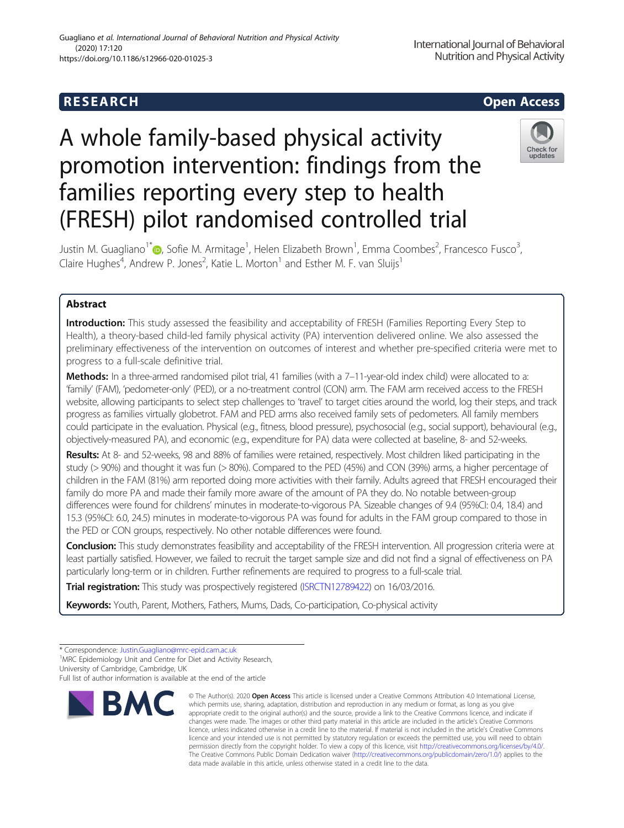# A whole family-based physical activity promotion intervention: findings from the families reporting every step to health (FRESH) pilot randomised controlled trial



Justin M. Guagliano<sup>1\*</sup>®, Sofie M. Armitage<sup>1</sup>, Helen Elizabeth Brown<sup>1</sup>, Emma Coombes<sup>2</sup>, Francesco Fusco<sup>3</sup> , Claire Hughes<sup>4</sup>, Andrew P. Jones<sup>2</sup>, Katie L. Morton<sup>1</sup> and Esther M. F. van Sluijs<sup>1</sup>

## Abstract

Introduction: This study assessed the feasibility and acceptability of FRESH (Families Reporting Every Step to Health), a theory-based child-led family physical activity (PA) intervention delivered online. We also assessed the preliminary effectiveness of the intervention on outcomes of interest and whether pre-specified criteria were met to progress to a full-scale definitive trial.

Methods: In a three-armed randomised pilot trial, 41 families (with a 7-11-year-old index child) were allocated to a: 'family' (FAM), 'pedometer-only' (PED), or a no-treatment control (CON) arm. The FAM arm received access to the FRESH website, allowing participants to select step challenges to 'travel' to target cities around the world, log their steps, and track progress as families virtually globetrot. FAM and PED arms also received family sets of pedometers. All family members could participate in the evaluation. Physical (e.g., fitness, blood pressure), psychosocial (e.g., social support), behavioural (e.g., objectively-measured PA), and economic (e.g., expenditure for PA) data were collected at baseline, 8- and 52-weeks.

Results: At 8- and 52-weeks, 98 and 88% of families were retained, respectively. Most children liked participating in the study (> 90%) and thought it was fun (> 80%). Compared to the PED (45%) and CON (39%) arms, a higher percentage of children in the FAM (81%) arm reported doing more activities with their family. Adults agreed that FRESH encouraged their family do more PA and made their family more aware of the amount of PA they do. No notable between-group differences were found for childrens' minutes in moderate-to-vigorous PA. Sizeable changes of 9.4 (95%CI: 0.4, 18.4) and 15.3 (95%CI: 6.0, 24.5) minutes in moderate-to-vigorous PA was found for adults in the FAM group compared to those in the PED or CON groups, respectively. No other notable differences were found.

Conclusion: This study demonstrates feasibility and acceptability of the FRESH intervention. All progression criteria were at least partially satisfied. However, we failed to recruit the target sample size and did not find a signal of effectiveness on PA particularly long-term or in children. Further refinements are required to progress to a full-scale trial.

Trial registration: This study was prospectively registered [\(ISRCTN12789422](http://www.isrctn.com/ISRCTN12789422)) on 16/03/2016.

Keywords: Youth, Parent, Mothers, Fathers, Mums, Dads, Co-participation, Co-physical activity

<sup>1</sup> MRC Epidemiology Unit and Centre for Diet and Activity Research, University of Cambridge, Cambridge, UK

Full list of author information is available at the end of the article



<sup>©</sup> The Author(s), 2020 **Open Access** This article is licensed under a Creative Commons Attribution 4.0 International License, which permits use, sharing, adaptation, distribution and reproduction in any medium or format, as long as you give appropriate credit to the original author(s) and the source, provide a link to the Creative Commons licence, and indicate if changes were made. The images or other third party material in this article are included in the article's Creative Commons licence, unless indicated otherwise in a credit line to the material. If material is not included in the article's Creative Commons licence and your intended use is not permitted by statutory regulation or exceeds the permitted use, you will need to obtain permission directly from the copyright holder. To view a copy of this licence, visit [http://creativecommons.org/licenses/by/4.0/.](http://creativecommons.org/licenses/by/4.0/) The Creative Commons Public Domain Dedication waiver [\(http://creativecommons.org/publicdomain/zero/1.0/](http://creativecommons.org/publicdomain/zero/1.0/)) applies to the data made available in this article, unless otherwise stated in a credit line to the data.

<sup>\*</sup> Correspondence: [Justin.Guagliano@mrc-epid.cam.ac.uk](mailto:Justin.Guagliano@mrc-epid.cam.ac.uk) <sup>1</sup>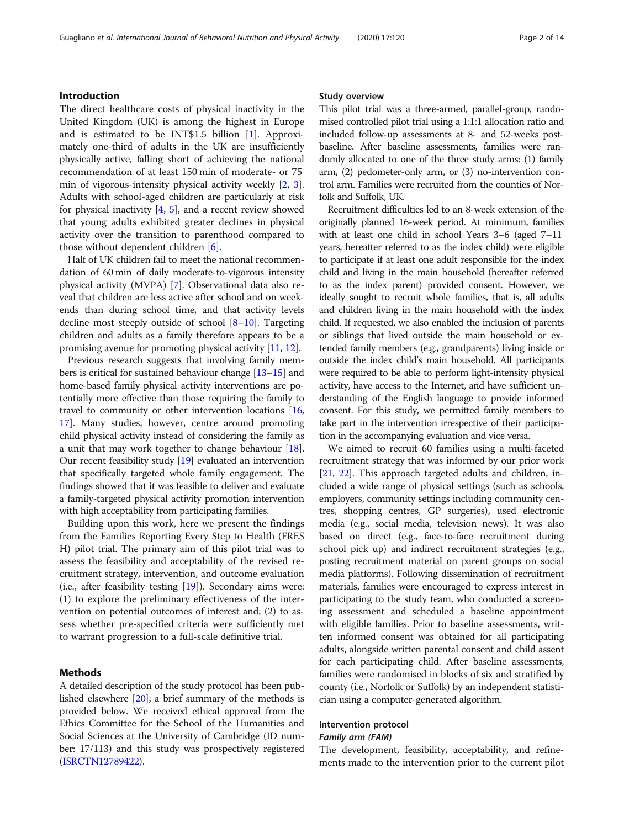## Introduction

The direct healthcare costs of physical inactivity in the United Kingdom (UK) is among the highest in Europe and is estimated to be INT\$1.5 billion [[1](#page-12-0)]. Approximately one-third of adults in the UK are insufficiently physically active, falling short of achieving the national recommendation of at least 150 min of moderate- or 75 min of vigorous-intensity physical activity weekly [\[2](#page-12-0), [3](#page-12-0)]. Adults with school-aged children are particularly at risk for physical inactivity  $[4, 5]$  $[4, 5]$  $[4, 5]$ , and a recent review showed that young adults exhibited greater declines in physical activity over the transition to parenthood compared to those without dependent children [\[6](#page-12-0)].

Half of UK children fail to meet the national recommendation of 60 min of daily moderate-to-vigorous intensity physical activity (MVPA) [[7\]](#page-12-0). Observational data also reveal that children are less active after school and on weekends than during school time, and that activity levels decline most steeply outside of school  $[8-10]$  $[8-10]$  $[8-10]$  $[8-10]$ . Targeting children and adults as a family therefore appears to be a promising avenue for promoting physical activity [\[11,](#page-12-0) [12\]](#page-12-0).

Previous research suggests that involving family members is critical for sustained behaviour change [[13](#page-12-0)–[15\]](#page-12-0) and home-based family physical activity interventions are potentially more effective than those requiring the family to travel to community or other intervention locations [[16](#page-12-0), [17](#page-12-0)]. Many studies, however, centre around promoting child physical activity instead of considering the family as a unit that may work together to change behaviour [[18](#page-12-0)]. Our recent feasibility study [\[19](#page-12-0)] evaluated an intervention that specifically targeted whole family engagement. The findings showed that it was feasible to deliver and evaluate a family-targeted physical activity promotion intervention with high acceptability from participating families.

Building upon this work, here we present the findings from the Families Reporting Every Step to Health (FRES H) pilot trial. The primary aim of this pilot trial was to assess the feasibility and acceptability of the revised recruitment strategy, intervention, and outcome evaluation (i.e., after feasibility testing [\[19](#page-12-0)]). Secondary aims were: (1) to explore the preliminary effectiveness of the intervention on potential outcomes of interest and; (2) to assess whether pre-specified criteria were sufficiently met to warrant progression to a full-scale definitive trial.

## Methods

A detailed description of the study protocol has been published elsewhere [\[20\]](#page-12-0); a brief summary of the methods is provided below. We received ethical approval from the Ethics Committee for the School of the Humanities and Social Sciences at the University of Cambridge (ID number: 17/113) and this study was prospectively registered ([ISRCTN12789422\)](http://www.isrctn.com/ISRCTN12789422).

## Study overview

This pilot trial was a three-armed, parallel-group, randomised controlled pilot trial using a 1:1:1 allocation ratio and included follow-up assessments at 8- and 52-weeks postbaseline. After baseline assessments, families were randomly allocated to one of the three study arms: (1) family arm, (2) pedometer-only arm, or (3) no-intervention control arm. Families were recruited from the counties of Norfolk and Suffolk, UK.

Recruitment difficulties led to an 8-week extension of the originally planned 16-week period. At minimum, families with at least one child in school Years 3–6 (aged 7–11 years, hereafter referred to as the index child) were eligible to participate if at least one adult responsible for the index child and living in the main household (hereafter referred to as the index parent) provided consent. However, we ideally sought to recruit whole families, that is, all adults and children living in the main household with the index child. If requested, we also enabled the inclusion of parents or siblings that lived outside the main household or extended family members (e.g., grandparents) living inside or outside the index child's main household. All participants were required to be able to perform light-intensity physical activity, have access to the Internet, and have sufficient understanding of the English language to provide informed consent. For this study, we permitted family members to take part in the intervention irrespective of their participation in the accompanying evaluation and vice versa.

We aimed to recruit 60 families using a multi-faceted recruitment strategy that was informed by our prior work [[21](#page-12-0), [22](#page-12-0)]. This approach targeted adults and children, included a wide range of physical settings (such as schools, employers, community settings including community centres, shopping centres, GP surgeries), used electronic media (e.g., social media, television news). It was also based on direct (e.g., face-to-face recruitment during school pick up) and indirect recruitment strategies (e.g., posting recruitment material on parent groups on social media platforms). Following dissemination of recruitment materials, families were encouraged to express interest in participating to the study team, who conducted a screening assessment and scheduled a baseline appointment with eligible families. Prior to baseline assessments, written informed consent was obtained for all participating adults, alongside written parental consent and child assent for each participating child. After baseline assessments, families were randomised in blocks of six and stratified by county (i.e., Norfolk or Suffolk) by an independent statistician using a computer-generated algorithm.

## Intervention protocol

## Family arm (FAM)

The development, feasibility, acceptability, and refinements made to the intervention prior to the current pilot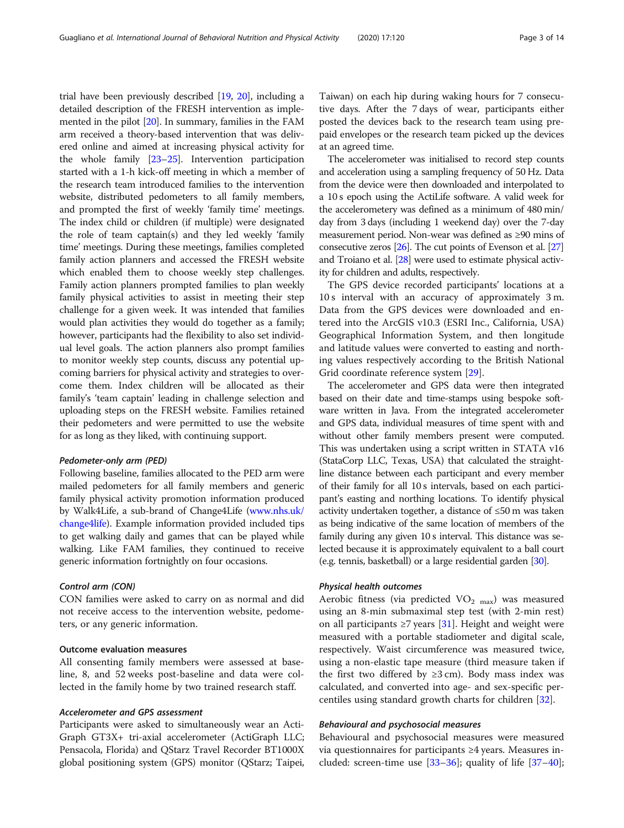trial have been previously described [[19](#page-12-0), [20\]](#page-12-0), including a detailed description of the FRESH intervention as implemented in the pilot [[20](#page-12-0)]. In summary, families in the FAM arm received a theory-based intervention that was delivered online and aimed at increasing physical activity for the whole family [\[23](#page-12-0)–[25](#page-12-0)]. Intervention participation started with a 1-h kick-off meeting in which a member of the research team introduced families to the intervention website, distributed pedometers to all family members, and prompted the first of weekly 'family time' meetings. The index child or children (if multiple) were designated the role of team captain(s) and they led weekly 'family time' meetings. During these meetings, families completed family action planners and accessed the FRESH website which enabled them to choose weekly step challenges. Family action planners prompted families to plan weekly family physical activities to assist in meeting their step challenge for a given week. It was intended that families would plan activities they would do together as a family; however, participants had the flexibility to also set individual level goals. The action planners also prompt families to monitor weekly step counts, discuss any potential upcoming barriers for physical activity and strategies to overcome them. Index children will be allocated as their family's 'team captain' leading in challenge selection and uploading steps on the FRESH website. Families retained their pedometers and were permitted to use the website for as long as they liked, with continuing support.

## Pedometer-only arm (PED)

Following baseline, families allocated to the PED arm were mailed pedometers for all family members and generic family physical activity promotion information produced by Walk4Life, a sub-brand of Change4Life [\(www.nhs.uk/](http://www.nhs.uk/change4life) [change4life\)](http://www.nhs.uk/change4life). Example information provided included tips to get walking daily and games that can be played while walking. Like FAM families, they continued to receive generic information fortnightly on four occasions.

## Control arm (CON)

CON families were asked to carry on as normal and did not receive access to the intervention website, pedometers, or any generic information.

## Outcome evaluation measures

All consenting family members were assessed at baseline, 8, and 52 weeks post-baseline and data were collected in the family home by two trained research staff.

## Accelerometer and GPS assessment

Participants were asked to simultaneously wear an Acti-Graph GT3X+ tri-axial accelerometer (ActiGraph LLC; Pensacola, Florida) and QStarz Travel Recorder BT1000X global positioning system (GPS) monitor (QStarz; Taipei, Taiwan) on each hip during waking hours for 7 consecutive days. After the 7 days of wear, participants either posted the devices back to the research team using prepaid envelopes or the research team picked up the devices at an agreed time.

The accelerometer was initialised to record step counts and acceleration using a sampling frequency of 50 Hz. Data from the device were then downloaded and interpolated to a 10 s epoch using the ActiLife software. A valid week for the accelerometery was defined as a minimum of 480 min/ day from 3 days (including 1 weekend day) over the 7-day measurement period. Non-wear was defined as ≥90 mins of consecutive zeros  $[26]$  $[26]$  $[26]$ . The cut points of Evenson et al.  $[27]$  $[27]$ and Troiano et al. [\[28\]](#page-12-0) were used to estimate physical activity for children and adults, respectively.

The GPS device recorded participants' locations at a 10 s interval with an accuracy of approximately 3 m. Data from the GPS devices were downloaded and entered into the ArcGIS v10.3 (ESRI Inc., California, USA) Geographical Information System, and then longitude and latitude values were converted to easting and northing values respectively according to the British National Grid coordinate reference system [\[29](#page-12-0)].

The accelerometer and GPS data were then integrated based on their date and time-stamps using bespoke software written in Java. From the integrated accelerometer and GPS data, individual measures of time spent with and without other family members present were computed. This was undertaken using a script written in STATA v16 (StataCorp LLC, Texas, USA) that calculated the straightline distance between each participant and every member of their family for all 10 s intervals, based on each participant's easting and northing locations. To identify physical activity undertaken together, a distance of ≤50 m was taken as being indicative of the same location of members of the family during any given 10 s interval. This distance was selected because it is approximately equivalent to a ball court (e.g. tennis, basketball) or a large residential garden [[30](#page-12-0)].

## Physical health outcomes

Aerobic fitness (via predicted  $VO_{2\ max}$ ) was measured using an 8-min submaximal step test (with 2-min rest) on all participants ≥7 years [[31](#page-12-0)]. Height and weight were measured with a portable stadiometer and digital scale, respectively. Waist circumference was measured twice, using a non-elastic tape measure (third measure taken if the first two differed by ≥3 cm). Body mass index was calculated, and converted into age- and sex-specific percentiles using standard growth charts for children [[32\]](#page-12-0).

## Behavioural and psychosocial measures

Behavioural and psychosocial measures were measured via questionnaires for participants ≥4 years. Measures included: screen-time use  $[33-36]$  $[33-36]$  $[33-36]$ ; quality of life  $[37-40]$  $[37-40]$  $[37-40]$  $[37-40]$  $[37-40]$ ;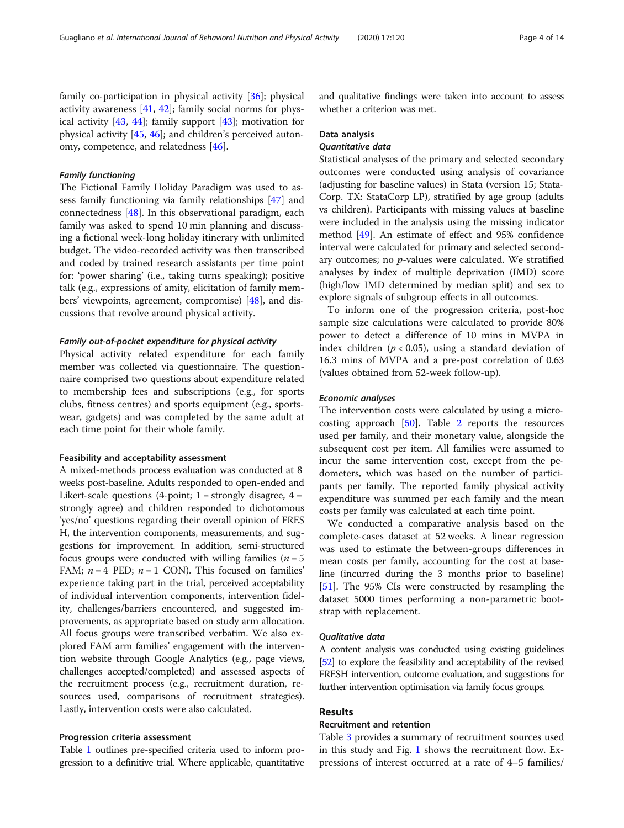family co-participation in physical activity [[36\]](#page-12-0); physical activity awareness  $[41, 42]$  $[41, 42]$  $[41, 42]$  $[41, 42]$ ; family social norms for physical activity [\[43](#page-13-0), [44\]](#page-13-0); family support [\[43\]](#page-13-0); motivation for physical activity [[45,](#page-13-0) [46\]](#page-13-0); and children's perceived autonomy, competence, and relatedness [[46\]](#page-13-0).

## Family functioning

The Fictional Family Holiday Paradigm was used to assess family functioning via family relationships [[47\]](#page-13-0) and connectedness [\[48](#page-13-0)]. In this observational paradigm, each family was asked to spend 10 min planning and discussing a fictional week-long holiday itinerary with unlimited budget. The video-recorded activity was then transcribed and coded by trained research assistants per time point for: 'power sharing' (i.e., taking turns speaking); positive talk (e.g., expressions of amity, elicitation of family members' viewpoints, agreement, compromise) [[48\]](#page-13-0), and discussions that revolve around physical activity.

## Family out-of-pocket expenditure for physical activity

Physical activity related expenditure for each family member was collected via questionnaire. The questionnaire comprised two questions about expenditure related to membership fees and subscriptions (e.g., for sports clubs, fitness centres) and sports equipment (e.g., sportswear, gadgets) and was completed by the same adult at each time point for their whole family.

## Feasibility and acceptability assessment

A mixed-methods process evaluation was conducted at 8 weeks post-baseline. Adults responded to open-ended and Likert-scale questions (4-point;  $1 =$  strongly disagree,  $4 =$ strongly agree) and children responded to dichotomous 'yes/no' questions regarding their overall opinion of FRES H, the intervention components, measurements, and suggestions for improvement. In addition, semi-structured focus groups were conducted with willing families ( $n = 5$ ) FAM;  $n = 4$  PED;  $n = 1$  CON). This focused on families' experience taking part in the trial, perceived acceptability of individual intervention components, intervention fidelity, challenges/barriers encountered, and suggested improvements, as appropriate based on study arm allocation. All focus groups were transcribed verbatim. We also explored FAM arm families' engagement with the intervention website through Google Analytics (e.g., page views, challenges accepted/completed) and assessed aspects of the recruitment process (e.g., recruitment duration, resources used, comparisons of recruitment strategies). Lastly, intervention costs were also calculated.

## Progression criteria assessment

Table [1](#page-4-0) outlines pre-specified criteria used to inform progression to a definitive trial. Where applicable, quantitative and qualitative findings were taken into account to assess whether a criterion was met.

## Data analysis

## Quantitative data

Statistical analyses of the primary and selected secondary outcomes were conducted using analysis of covariance (adjusting for baseline values) in Stata (version 15; Stata-Corp. TX: StataCorp LP), stratified by age group (adults vs children). Participants with missing values at baseline were included in the analysis using the missing indicator method [\[49](#page-13-0)]. An estimate of effect and 95% confidence interval were calculated for primary and selected secondary outcomes; no p-values were calculated. We stratified analyses by index of multiple deprivation (IMD) score (high/low IMD determined by median split) and sex to explore signals of subgroup effects in all outcomes.

To inform one of the progression criteria, post-hoc sample size calculations were calculated to provide 80% power to detect a difference of 10 mins in MVPA in index children ( $p < 0.05$ ), using a standard deviation of 16.3 mins of MVPA and a pre-post correlation of 0.63 (values obtained from 52-week follow-up).

## Economic analyses

The intervention costs were calculated by using a microcosting approach [\[50](#page-13-0)]. Table [2](#page-4-0) reports the resources used per family, and their monetary value, alongside the subsequent cost per item. All families were assumed to incur the same intervention cost, except from the pedometers, which was based on the number of participants per family. The reported family physical activity expenditure was summed per each family and the mean costs per family was calculated at each time point.

We conducted a comparative analysis based on the complete-cases dataset at 52 weeks. A linear regression was used to estimate the between-groups differences in mean costs per family, accounting for the cost at baseline (incurred during the 3 months prior to baseline) [[51\]](#page-13-0). The 95% CIs were constructed by resampling the dataset 5000 times performing a non-parametric bootstrap with replacement.

#### Qualitative data

A content analysis was conducted using existing guidelines [[52\]](#page-13-0) to explore the feasibility and acceptability of the revised FRESH intervention, outcome evaluation, and suggestions for further intervention optimisation via family focus groups.

## Results

## Recruitment and retention

Table [3](#page-5-0) provides a summary of recruitment sources used in this study and Fig. [1](#page-6-0) shows the recruitment flow. Expressions of interest occurred at a rate of 4–5 families/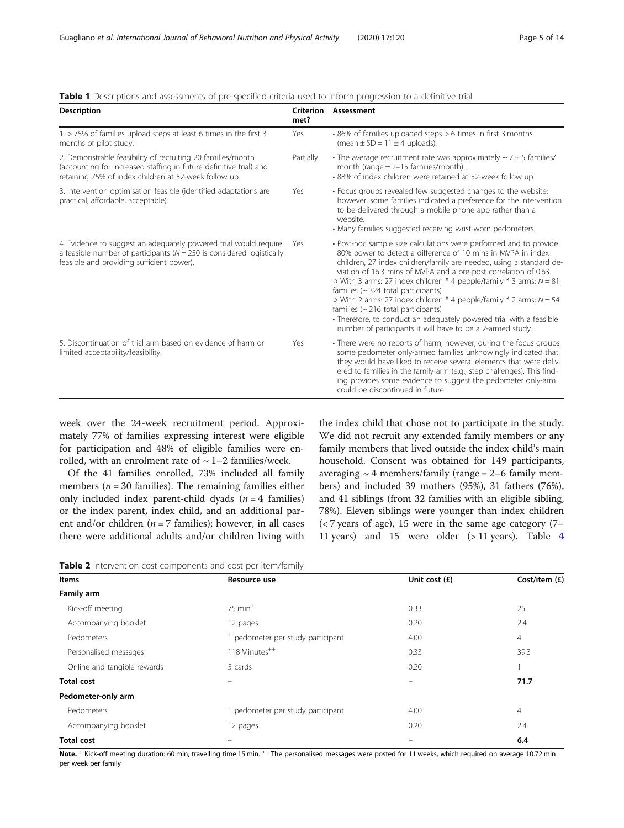<span id="page-4-0"></span>

| Table 1 Descriptions and assessments of pre-specified criteria used to inform progression to a definitive trial |  |  |  |  |  |  |  |  |  |  |  |  |
|-----------------------------------------------------------------------------------------------------------------|--|--|--|--|--|--|--|--|--|--|--|--|
|-----------------------------------------------------------------------------------------------------------------|--|--|--|--|--|--|--|--|--|--|--|--|

| <b>Description</b>                                                                                                                                                                         | Criterion<br>met? | Assessment                                                                                                                                                                                                                                                                                                                                                                                                                                                                                                                                                                                                                                                            |
|--------------------------------------------------------------------------------------------------------------------------------------------------------------------------------------------|-------------------|-----------------------------------------------------------------------------------------------------------------------------------------------------------------------------------------------------------------------------------------------------------------------------------------------------------------------------------------------------------------------------------------------------------------------------------------------------------------------------------------------------------------------------------------------------------------------------------------------------------------------------------------------------------------------|
| 1. > 75% of families upload steps at least 6 times in the first 3<br>months of pilot study.                                                                                                | Yes               | • 86% of families uploaded steps > 6 times in first 3 months<br>(mean $\pm$ SD = 11 $\pm$ 4 uploads).                                                                                                                                                                                                                                                                                                                                                                                                                                                                                                                                                                 |
| 2. Demonstrable feasibility of recruiting 20 families/month<br>(accounting for increased staffing in future definitive trial) and<br>retaining 75% of index children at 52-week follow up. | Partially         | • The average recruitment rate was approximately $\sim$ 7 $\pm$ 5 families/<br>month (range $= 2 - 15$ families/month).<br>• 88% of index children were retained at 52-week follow up.                                                                                                                                                                                                                                                                                                                                                                                                                                                                                |
| 3. Intervention optimisation feasible (identified adaptations are<br>practical, affordable, acceptable).                                                                                   | Yes               | • Focus groups revealed few suggested changes to the website;<br>however, some families indicated a preference for the intervention<br>to be delivered through a mobile phone app rather than a<br>website.<br>• Many families suggested receiving wrist-worn pedometers.                                                                                                                                                                                                                                                                                                                                                                                             |
| 4. Evidence to suggest an adequately powered trial would require<br>a feasible number of participants ( $N = 250$ is considered logistically<br>feasible and providing sufficient power).  | Yes               | • Post-hoc sample size calculations were performed and to provide<br>80% power to detect a difference of 10 mins in MVPA in index<br>children, 27 index children/family are needed, using a standard de-<br>viation of 16.3 mins of MVPA and a pre-post correlation of 0.63.<br>o With 3 arms: 27 index children $*$ 4 people/family $*$ 3 arms; $N = 81$<br>families ( $\sim$ 324 total participants)<br>o With 2 arms: 27 index children $*$ 4 people/family $*$ 2 arms; $N = 54$<br>families ( $\sim$ 216 total participants)<br>• Therefore, to conduct an adequately powered trial with a feasible<br>number of participants it will have to be a 2-armed study. |
| 5. Discontinuation of trial arm based on evidence of harm or<br>limited acceptability/feasibility.                                                                                         | Yes               | • There were no reports of harm, however, during the focus groups<br>some pedometer only-armed families unknowingly indicated that<br>they would have liked to receive several elements that were deliv-<br>ered to families in the family-arm (e.g., step challenges). This find-<br>ing provides some evidence to suggest the pedometer only-arm<br>could be discontinued in future.                                                                                                                                                                                                                                                                                |

week over the 24-week recruitment period. Approximately 77% of families expressing interest were eligible for participation and 48% of eligible families were enrolled, with an enrolment rate of  $\sim$  1–2 families/week.

Of the 41 families enrolled, 73% included all family members ( $n = 30$  families). The remaining families either only included index parent-child dyads  $(n = 4$  families) or the index parent, index child, and an additional parent and/or children ( $n = 7$  families); however, in all cases there were additional adults and/or children living with

the index child that chose not to participate in the study. We did not recruit any extended family members or any family members that lived outside the index child's main household. Consent was obtained for 149 participants, averaging  $\sim$  4 members/family (range = 2–6 family members) and included 39 mothers (95%), 31 fathers (76%), and 41 siblings (from 32 families with an eligible sibling, 78%). Eleven siblings were younger than index children  $\left($  < 7 years of age), 15 were in the same age category  $\left($ 7-11 years) and 15 were older (> 11 years). Table [4](#page-6-0)

|  | <b>Table 2</b> Intervention cost components and cost per item/family |  |
|--|----------------------------------------------------------------------|--|
|--|----------------------------------------------------------------------|--|

| Items                       | Resource use                      | Unit cost (£)   | Cost/item (£)  |
|-----------------------------|-----------------------------------|-----------------|----------------|
| Family arm                  |                                   |                 |                |
| Kick-off meeting            | $75$ min <sup>+</sup>             | 0.33            | 25             |
| Accompanying booklet        | 12 pages                          | 0.20            | 2.4            |
| Pedometers                  | 1 pedometer per study participant | 4.00            | 4              |
| Personalised messages       | 118 Minutes <sup>++</sup>         | 0.33            | 39.3           |
| Online and tangible rewards | 5 cards                           | 0.20            |                |
| <b>Total cost</b>           |                                   | $\qquad \qquad$ | 71.7           |
| Pedometer-only arm          |                                   |                 |                |
| Pedometers                  | 1 pedometer per study participant | 4.00            | $\overline{4}$ |
| Accompanying booklet        | 12 pages                          | 0.20            | 2.4            |
| <b>Total cost</b>           |                                   |                 | 6.4            |

Note. + Kick-off meeting duration: 60 min; travelling time:15 min. <sup>++</sup> The personalised messages were posted for 11 weeks, which required on average 10.72 min per week per family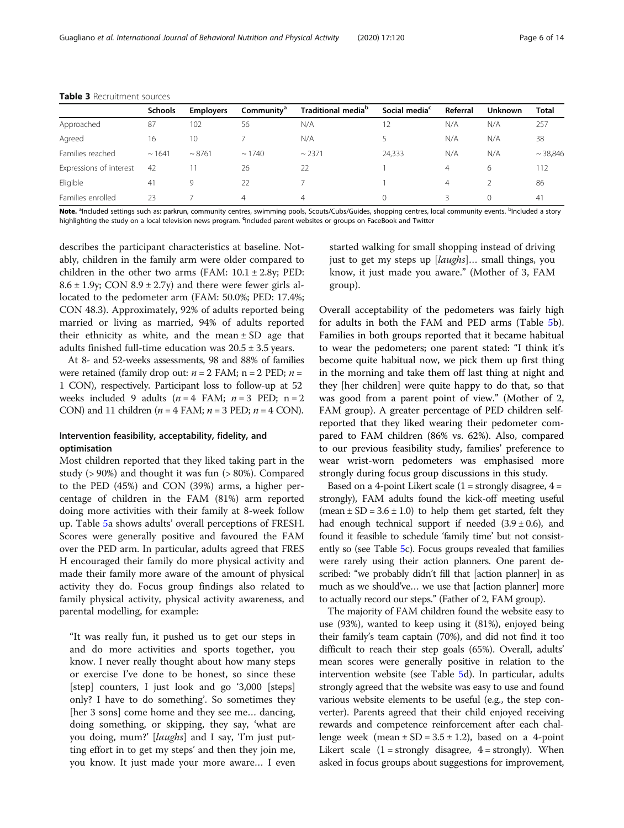| <b>Schools</b> | <b>Employers</b> | Community <sup>a</sup> | Traditional media <sup>b</sup> | Social media <sup>c</sup> | Referral | <b>Unknown</b> | Total          |
|----------------|------------------|------------------------|--------------------------------|---------------------------|----------|----------------|----------------|
| 87             | 102              | 56                     | N/A                            | 12                        | N/A      | N/A            | 257            |
| 16             | 10               |                        | N/A                            |                           | N/A      | N/A            | 38             |
| ~1641          | ~1.8761          | $\sim$ 1740            | ~2371                          | 24,333                    | N/A      | N/A            | $~\sim$ 38,846 |
| 42             |                  | 26                     | 22                             |                           | 4        | 6              | 112            |
| 41             | 9                | 22                     |                                |                           | 4        |                | 86             |
| 23             |                  | 4                      | 4                              | $\Omega$                  | 3        |                | 41             |
|                |                  |                        |                                |                           |          |                |                |

### <span id="page-5-0"></span>Table 3 Recruitment sources

Note. <sup>a</sup>Included settings such as: parkrun, community centres, swimming pools, Scouts/Cubs/Guides, shopping centres, local community events. <sup>b</sup>Included a story highlighting the study on a local television news program. <sup>c</sup>Included parent websites or groups on FaceBook and Twitter

describes the participant characteristics at baseline. Notably, children in the family arm were older compared to children in the other two arms (FAM:  $10.1 \pm 2.8$ y; PED:  $8.6 \pm 1.9$ y; CON  $8.9 \pm 2.7$ y) and there were fewer girls allocated to the pedometer arm (FAM: 50.0%; PED: 17.4%; CON 48.3). Approximately, 92% of adults reported being married or living as married, 94% of adults reported their ethnicity as white, and the mean  $\pm$  SD age that adults finished full-time education was  $20.5 \pm 3.5$  years.

At 8- and 52-weeks assessments, 98 and 88% of families were retained (family drop out:  $n = 2$  FAM; n = 2 PED;  $n =$ 1 CON), respectively. Participant loss to follow-up at 52 weeks included 9 adults ( $n = 4$  FAM;  $n = 3$  PED;  $n = 2$ CON) and 11 children ( $n = 4$  FAM;  $n = 3$  PED;  $n = 4$  CON).

## Intervention feasibility, acceptability, fidelity, and optimisation

Most children reported that they liked taking part in the study (> 90%) and thought it was fun (> 80%). Compared to the PED (45%) and CON (39%) arms, a higher percentage of children in the FAM (81%) arm reported doing more activities with their family at 8-week follow up. Table [5](#page-7-0)a shows adults' overall perceptions of FRESH. Scores were generally positive and favoured the FAM over the PED arm. In particular, adults agreed that FRES H encouraged their family do more physical activity and made their family more aware of the amount of physical activity they do. Focus group findings also related to family physical activity, physical activity awareness, and parental modelling, for example:

"It was really fun, it pushed us to get our steps in and do more activities and sports together, you know. I never really thought about how many steps or exercise I've done to be honest, so since these [step] counters, I just look and go '3,000 [steps] only? I have to do something'. So sometimes they [her 3 sons] come home and they see me… dancing, doing something, or skipping, they say, 'what are you doing, mum?' [laughs] and I say, 'I'm just putting effort in to get my steps' and then they join me, you know. It just made your more aware… I even

started walking for small shopping instead of driving just to get my steps up [*laughs*]... small things, you know, it just made you aware." (Mother of 3, FAM group).

Overall acceptability of the pedometers was fairly high for adults in both the FAM and PED arms (Table [5](#page-7-0)b). Families in both groups reported that it became habitual to wear the pedometers; one parent stated: "I think it's become quite habitual now, we pick them up first thing in the morning and take them off last thing at night and they [her children] were quite happy to do that, so that was good from a parent point of view." (Mother of 2, FAM group). A greater percentage of PED children selfreported that they liked wearing their pedometer compared to FAM children (86% vs. 62%). Also, compared to our previous feasibility study, families' preference to wear wrist-worn pedometers was emphasised more strongly during focus group discussions in this study.

Based on a 4-point Likert scale  $(1 =$  strongly disagree,  $4 =$ strongly), FAM adults found the kick-off meeting useful (mean  $\pm$  SD = 3.6  $\pm$  1.0) to help them get started, felt they had enough technical support if needed  $(3.9 \pm 0.6)$ , and found it feasible to schedule 'family time' but not consistently so (see Table [5c](#page-7-0)). Focus groups revealed that families were rarely using their action planners. One parent described: "we probably didn't fill that [action planner] in as much as we should've… we use that [action planner] more to actually record our steps." (Father of 2, FAM group).

The majority of FAM children found the website easy to use (93%), wanted to keep using it (81%), enjoyed being their family's team captain (70%), and did not find it too difficult to reach their step goals (65%). Overall, adults' mean scores were generally positive in relation to the intervention website (see Table [5d](#page-7-0)). In particular, adults strongly agreed that the website was easy to use and found various website elements to be useful (e.g., the step converter). Parents agreed that their child enjoyed receiving rewards and competence reinforcement after each challenge week (mean  $\pm$  SD = 3.5  $\pm$  1.2), based on a 4-point Likert scale  $(1 =$  strongly disagree,  $4 =$  strongly). When asked in focus groups about suggestions for improvement,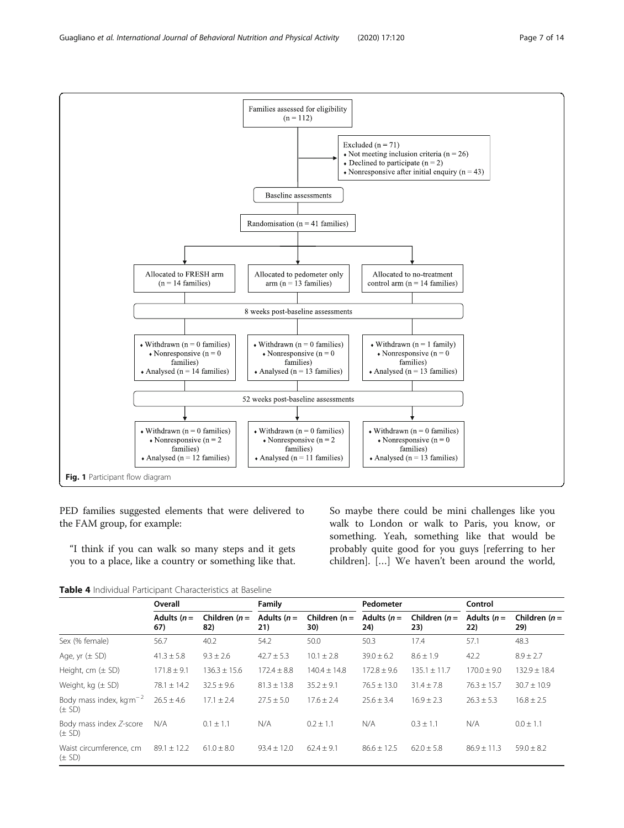PED families suggested elements that were delivered to the FAM group, for example:

"I think if you can walk so many steps and it gets you to a place, like a country or something like that.

So maybe there could be mini challenges like you walk to London or walk to Paris, you know, or something. Yeah, something like that would be probably quite good for you guys [referring to her children]. […] We haven't been around the world,



|                                                  | Overall              |                       | Family              |                        | Pedometer            |                       | Control             |                       |
|--------------------------------------------------|----------------------|-----------------------|---------------------|------------------------|----------------------|-----------------------|---------------------|-----------------------|
|                                                  | Adults $(n =$<br>67) | Children $(n=$<br>82) | Adults $(n=$<br>21) | Children $(n =$<br>30) | Adults $(n =$<br>24) | Children $(n=$<br>23) | Adults $(n=$<br>22) | Children $(n=$<br>29) |
| Sex (% female)                                   | 56.7                 | 40.2                  | 54.2                | 50.0                   | 50.3                 | 17.4                  | 57.1                | 48.3                  |
| Age, yr $(\pm$ SD)                               | $41.3 \pm 5.8$       | $9.3 \pm 2.6$         | $42.7 \pm 5.3$      | $10.1 \pm 2.8$         | $39.0 \pm 6.2$       | $8.6 \pm 1.9$         | 42.2                | $8.9 \pm 2.7$         |
| Height, cm $(\pm$ SD)                            | $171.8 \pm 9.1$      | $136.3 \pm 15.6$      | $172.4 \pm 8.8$     | $140.4 \pm 14.8$       | $172.8 \pm 9.6$      | $135.1 \pm 11.7$      | $170.0 \pm 9.0$     | $132.9 \pm 18.4$      |
| Weight, kg $(\pm$ SD)                            | $78.1 \pm 14.2$      | $32.5 \pm 9.6$        | $81.3 \pm 13.8$     | $35.2 + 9.1$           | $76.5 + 13.0$        | $31.4 + 7.8$          | $76.3 \pm 15.7$     | $30.7 + 10.9$         |
| Body mass index, kgm <sup>-2</sup><br>$(\pm$ SD) | $26.5 \pm 4.6$       | $17.1 \pm 2.4$        | $27.5 \pm 5.0$      | $17.6 + 2.4$           | $25.6 \pm 3.4$       | $16.9 \pm 2.3$        | $26.3 \pm 5.3$      | $16.8 \pm 2.5$        |
| Body mass index Z-score<br>$(\pm$ SD)            | N/A                  | $0.1 \pm 1.1$         | N/A                 | $0.2 \pm 1.1$          | N/A                  | $0.3 \pm 1.1$         | N/A                 | $0.0 \pm 1.1$         |
| Waist circumference, cm<br>$(\pm$ SD)            | $89.1 \pm 12.2$      | $61.0 \pm 8.0$        | $93.4 \pm 12.0$     | $62.4 \pm 9.1$         | $86.6 + 12.5$        | $62.0 \pm 5.8$        | $86.9 \pm 11.3$     | $59.0 \pm 8.2$        |

<span id="page-6-0"></span>

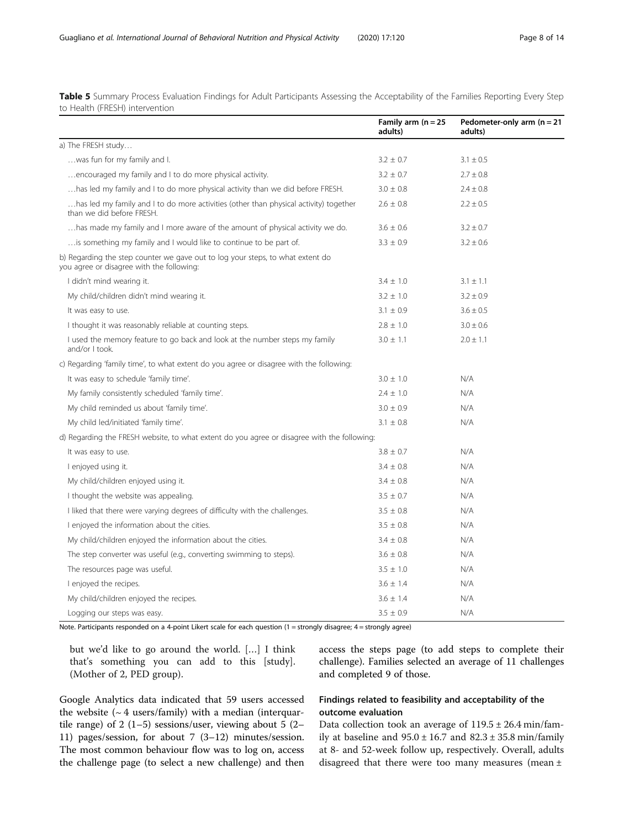<span id="page-7-0"></span>Table 5 Summary Process Evaluation Findings for Adult Participants Assessing the Acceptability of the Families Reporting Every Step to Health (FRESH) intervention

|                                                                                                                             | Family arm $(n = 25$<br>adults) | Pedometer-only arm $(n = 21)$<br>adults) |
|-----------------------------------------------------------------------------------------------------------------------------|---------------------------------|------------------------------------------|
| a) The FRESH study                                                                                                          |                                 |                                          |
| was fun for my family and I.                                                                                                | $3.2 \pm 0.7$                   | $3.1 \pm 0.5$                            |
| encouraged my family and I to do more physical activity.                                                                    | $3.2 \pm 0.7$                   | $2.7 \pm 0.8$                            |
| has led my family and I to do more physical activity than we did before FRESH.                                              | $3.0 \pm 0.8$                   | $2.4 \pm 0.8$                            |
| has led my family and I to do more activities (other than physical activity) together<br>than we did before FRESH.          | $2.6 \pm 0.8$                   | $2.2 \pm 0.5$                            |
| has made my family and I more aware of the amount of physical activity we do.                                               | $3.6 \pm 0.6$                   | $3.2 \pm 0.7$                            |
| is something my family and I would like to continue to be part of.                                                          | $3.3 \pm 0.9$                   | $3.2 \pm 0.6$                            |
| b) Regarding the step counter we gave out to log your steps, to what extent do<br>you agree or disagree with the following: |                                 |                                          |
| I didn't mind wearing it.                                                                                                   | $3.4 \pm 1.0$                   | $3.1 \pm 1.1$                            |
| My child/children didn't mind wearing it.                                                                                   | $3.2 \pm 1.0$                   | $3.2 \pm 0.9$                            |
| It was easy to use.                                                                                                         | $3.1 \pm 0.9$                   | $3.6 \pm 0.5$                            |
| I thought it was reasonably reliable at counting steps.                                                                     | $2.8 \pm 1.0$                   | $3.0 \pm 0.6$                            |
| I used the memory feature to go back and look at the number steps my family<br>and/or I took.                               | $3.0 \pm 1.1$                   | $2.0 \pm 1.1$                            |
| c) Regarding 'family time', to what extent do you agree or disagree with the following:                                     |                                 |                                          |
| It was easy to schedule 'family time'.                                                                                      | $3.0 \pm 1.0$                   | N/A                                      |
| My family consistently scheduled 'family time'.                                                                             | $2.4 \pm 1.0$                   | N/A                                      |
| My child reminded us about 'family time'.                                                                                   | $3.0 \pm 0.9$                   | N/A                                      |
| My child led/initiated 'family time'.                                                                                       | $3.1 \pm 0.8$                   | N/A                                      |
| d) Regarding the FRESH website, to what extent do you agree or disagree with the following:                                 |                                 |                                          |
| It was easy to use.                                                                                                         | $3.8 \pm 0.7$                   | N/A                                      |
| I enjoyed using it.                                                                                                         | $3.4 \pm 0.8$                   | N/A                                      |
| My child/children enjoyed using it.                                                                                         | $3.4 \pm 0.8$                   | N/A                                      |
| I thought the website was appealing.                                                                                        | $3.5 \pm 0.7$                   | N/A                                      |
| I liked that there were varying degrees of difficulty with the challenges.                                                  | $3.5 \pm 0.8$                   | N/A                                      |
| I enjoyed the information about the cities.                                                                                 | $3.5 \pm 0.8$                   | N/A                                      |
| My child/children enjoyed the information about the cities.                                                                 | $3.4 \pm 0.8$                   | N/A                                      |
| The step converter was useful (e.g., converting swimming to steps).                                                         | $3.6 \pm 0.8$                   | N/A                                      |
| The resources page was useful.                                                                                              | $3.5 \pm 1.0$                   | N/A                                      |
| I enjoyed the recipes.                                                                                                      | $3.6 \pm 1.4$                   | N/A                                      |
| My child/children enjoyed the recipes.                                                                                      | $3.6 \pm 1.4$                   | N/A                                      |
| Logging our steps was easy.                                                                                                 | $3.5 \pm 0.9$                   | N/A                                      |

Note. Participants responded on a 4-point Likert scale for each question (1 = strongly disagree; 4 = strongly agree)

but we'd like to go around the world. […] I think that's something you can add to this [study]. (Mother of 2, PED group).

Google Analytics data indicated that 59 users accessed the website  $($  - 4 users/family) with a median (interquartile range) of 2 (1–5) sessions/user, viewing about 5 (2– 11) pages/session, for about 7 (3–12) minutes/session. The most common behaviour flow was to log on, access the challenge page (to select a new challenge) and then access the steps page (to add steps to complete their challenge). Families selected an average of 11 challenges and completed 9 of those.

## Findings related to feasibility and acceptability of the outcome evaluation

Data collection took an average of  $119.5 \pm 26.4$  min/family at baseline and  $95.0 \pm 16.7$  and  $82.3 \pm 35.8$  min/family at 8- and 52-week follow up, respectively. Overall, adults disagreed that there were too many measures (mean  $\pm$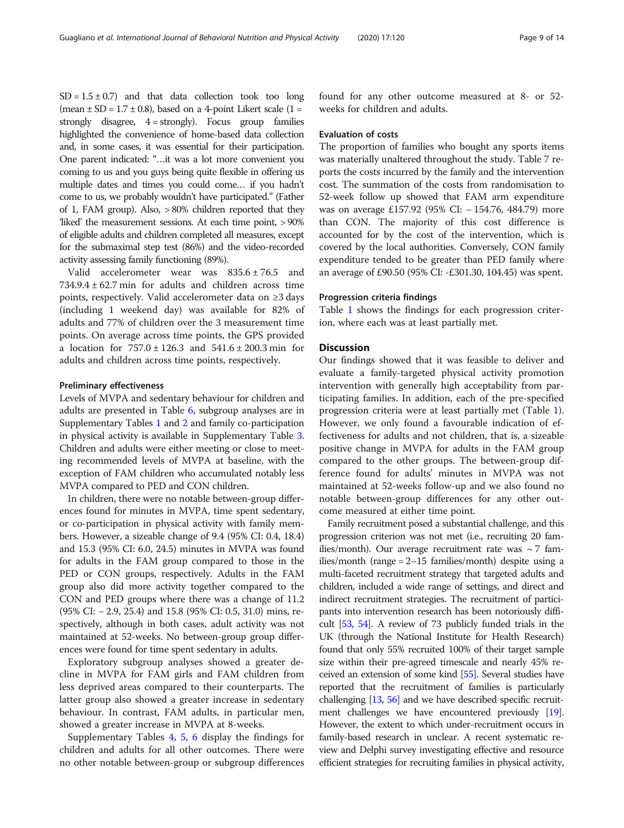$SD = 1.5 \pm 0.7$  and that data collection took too long (mean  $\pm$  SD = 1.7  $\pm$  0.8), based on a 4-point Likert scale (1 = strongly disagree,  $4 =$  strongly). Focus group families highlighted the convenience of home-based data collection and, in some cases, it was essential for their participation. One parent indicated: "…it was a lot more convenient you coming to us and you guys being quite flexible in offering us multiple dates and times you could come… if you hadn't come to us, we probably wouldn't have participated." (Father of 1, FAM group). Also, > 80% children reported that they 'liked' the measurement sessions. At each time point, > 90% of eligible adults and children completed all measures, except for the submaximal step test (86%) and the video-recorded activity assessing family functioning (89%).

Valid accelerometer wear was 835.6 ± 76.5 and 734.9.4 ± 62.7 min for adults and children across time points, respectively. Valid accelerometer data on ≥3 days (including 1 weekend day) was available for 82% of adults and 77% of children over the 3 measurement time points. On average across time points, the GPS provided a location for  $757.0 \pm 126.3$  and  $541.6 \pm 200.3$  min for adults and children across time points, respectively.

## Preliminary effectiveness

Levels of MVPA and sedentary behaviour for children and adults are presented in Table [6](#page-9-0), subgroup analyses are in Supplementary Tables [1](#page-11-0) and [2](#page-11-0) and family co-participation in physical activity is available in Supplementary Table [3](#page-11-0). Children and adults were either meeting or close to meeting recommended levels of MVPA at baseline, with the exception of FAM children who accumulated notably less MVPA compared to PED and CON children.

In children, there were no notable between-group differences found for minutes in MVPA, time spent sedentary, or co-participation in physical activity with family members. However, a sizeable change of 9.4 (95% CI: 0.4, 18.4) and 15.3 (95% CI: 6.0, 24.5) minutes in MVPA was found for adults in the FAM group compared to those in the PED or CON groups, respectively. Adults in the FAM group also did more activity together compared to the CON and PED groups where there was a change of 11.2 (95% CI: − 2.9, 25.4) and 15.8 (95% CI: 0.5, 31.0) mins, respectively, although in both cases, adult activity was not maintained at 52-weeks. No between-group group differences were found for time spent sedentary in adults.

Exploratory subgroup analyses showed a greater decline in MVPA for FAM girls and FAM children from less deprived areas compared to their counterparts. The latter group also showed a greater increase in sedentary behaviour. In contrast, FAM adults, in particular men, showed a greater increase in MVPA at 8-weeks.

Supplementary Tables [4](#page-11-0), [5](#page-11-0), [6](#page-11-0) display the findings for children and adults for all other outcomes. There were no other notable between-group or subgroup differences found for any other outcome measured at 8- or 52 weeks for children and adults.

## Evaluation of costs

The proportion of families who bought any sports items was materially unaltered throughout the study. Table [7](#page-10-0) reports the costs incurred by the family and the intervention cost. The summation of the costs from randomisation to 52-week follow up showed that FAM arm expenditure was on average £157.92 (95% CI: -154.76, 484.79) more than CON. The majority of this cost difference is accounted for by the cost of the intervention, which is covered by the local authorities. Conversely, CON family expenditure tended to be greater than PED family where an average of £90.50 (95% CI: -£301.30, 104.45) was spent.

## Progression criteria findings

Table [1](#page-4-0) shows the findings for each progression criterion, where each was at least partially met.

## **Discussion**

Our findings showed that it was feasible to deliver and evaluate a family-targeted physical activity promotion intervention with generally high acceptability from participating families. In addition, each of the pre-specified progression criteria were at least partially met (Table [1](#page-4-0)). However, we only found a favourable indication of effectiveness for adults and not children, that is, a sizeable positive change in MVPA for adults in the FAM group compared to the other groups. The between-group difference found for adults' minutes in MVPA was not maintained at 52-weeks follow-up and we also found no notable between-group differences for any other outcome measured at either time point.

Family recruitment posed a substantial challenge, and this progression criterion was not met (i.e., recruiting 20 families/month). Our average recruitment rate was  $\sim$  7 families/month (range = 2–15 families/month) despite using a multi-faceted recruitment strategy that targeted adults and children, included a wide range of settings, and direct and indirect recruitment strategies. The recruitment of participants into intervention research has been notoriously difficult [\[53,](#page-13-0) [54](#page-13-0)]. A review of 73 publicly funded trials in the UK (through the National Institute for Health Research) found that only 55% recruited 100% of their target sample size within their pre-agreed timescale and nearly 45% received an extension of some kind [[55](#page-13-0)]. Several studies have reported that the recruitment of families is particularly challenging [\[13,](#page-12-0) [56\]](#page-13-0) and we have described specific recruitment challenges we have encountered previously [\[19](#page-12-0)]. However, the extent to which under-recruitment occurs in family-based research in unclear. A recent systematic review and Delphi survey investigating effective and resource efficient strategies for recruiting families in physical activity,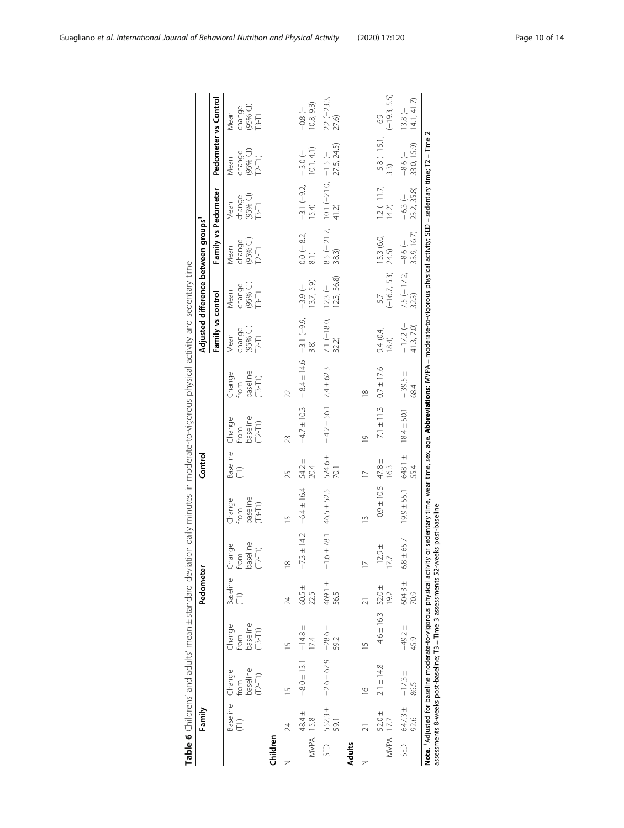<span id="page-9-0"></span>

|           | Family                     |                                                |                                                                                                                                                                                                                                                                                               | Pedometer       |                                                        |                                       | Control             |                                       |                                       |                                     |                                     | Adjusted difference between groups  |                                     |                                       |                                     |
|-----------|----------------------------|------------------------------------------------|-----------------------------------------------------------------------------------------------------------------------------------------------------------------------------------------------------------------------------------------------------------------------------------------------|-----------------|--------------------------------------------------------|---------------------------------------|---------------------|---------------------------------------|---------------------------------------|-------------------------------------|-------------------------------------|-------------------------------------|-------------------------------------|---------------------------------------|-------------------------------------|
|           |                            |                                                |                                                                                                                                                                                                                                                                                               |                 |                                                        |                                       |                     |                                       |                                       | Family vs control                   |                                     | Family vs Pedometer                 |                                     | Pedometer vs Control                  |                                     |
|           | Ê                          | baseline<br>(T2-T1)<br>Baseline Change<br>from | baseline<br>(T3-T1)<br>Change<br>from                                                                                                                                                                                                                                                         | Baseline<br>E)  | from<br>baseline<br>(T2-T1)<br>Change                  | baseline<br>(T3-T1)<br>Change<br>from | Baseline<br>Ê       | Change<br>from<br>baseline<br>(T2-T1) | from<br>baseline<br>(T3-T1)<br>Change | change<br>(95% Cl)<br>T2-T1<br>Mean | change<br>(95% Cl)<br>T3-T1<br>Mean | change<br>(95% Cl)<br>T2-T1<br>Mean | change<br>(95% Cl)<br>T3-T1<br>Mean | change<br>(95% Cl)<br>T2-T1)<br>Mean  | change<br>(95% Cl)<br>T3-T1<br>Mean |
| Children  |                            |                                                |                                                                                                                                                                                                                                                                                               |                 |                                                        |                                       |                     |                                       |                                       |                                     |                                     |                                     |                                     |                                       |                                     |
|           | 24                         |                                                |                                                                                                                                                                                                                                                                                               | 24              | ≌                                                      | 5                                     | 25                  | $\tilde{C}$                           | 22                                    |                                     |                                     |                                     |                                     |                                       |                                     |
|           | 48.4 ±<br><b>MVPA</b> 15.8 | $-8.0 \pm 13.1$                                | $-14.8 \pm$<br>$\overline{174}$                                                                                                                                                                                                                                                               | 60.5 ±<br>22.5  | $7.3 \pm 14.2$<br>7                                    | $-6.4 \pm 16.4$                       | 54.2 ±<br>20.4      | $-4.7 \pm 10.3$                       | $-8.4 \pm 14.6$ -3.1 (-9.9,<br>3.8)   |                                     | $-3.9(-$<br>13.7, 5.9)              | $0.0 (-8.2, 8.1)$                   | $-3.1 (-9.2, 15.4)$                 | $-3.0(-$<br>10.1, 4.1)                | $-0.8$ (-<br>10.8, 9.3)             |
| SED       | $552.3 \pm$<br>59.1        | $-2.6 \pm 62.9$                                | $-28.6 \pm$<br>59.2                                                                                                                                                                                                                                                                           | 469.1 ±<br>565  | $.6 + 78.1$<br>ī                                       | $46.5 \pm 52.5$                       | $524.6 \pm$<br>70.1 | $-4.2 \pm 56.1$                       | $2.4 \pm 62.3$                        | $7.1$ (-18.0,<br>32.2)              | (2.3, 36.8)<br>$12.3(-$             | $8.5$ (- 21.2,<br>38.3)             | $10.1 (-21.0, 41.2)$                | $-1.5 (-24.5)$                        | $2.2 (-23.3, 27.6)$                 |
| Adults    |                            |                                                |                                                                                                                                                                                                                                                                                               |                 |                                                        |                                       |                     |                                       |                                       |                                     |                                     |                                     |                                     |                                       |                                     |
|           |                            | $\frac{6}{1}$                                  |                                                                                                                                                                                                                                                                                               |                 |                                                        |                                       |                     |                                       | $\frac{8}{10}$                        |                                     |                                     |                                     |                                     |                                       |                                     |
| MVPA 17.7 | $52.0 \pm$                 | $2.1 \pm 14.8$                                 | $-4.6 \pm 16.3$ 52.0 ±                                                                                                                                                                                                                                                                        | 192             | $12.9 +$<br>$\overline{\phantom{a}}$<br>$\overline{1}$ | $-0.9 \pm 10.5$                       | $47.8 \pm$<br>16.3  | $-7.1 \pm 11.3$                       | $0.7 \pm 17.6$                        | 9.4 (0.4,<br>18.4                   | $-5.7$<br>$(-16.7, 5.3)$            | 15.3(6.0, 24.5)                     | $1.2$ (-11.7, 14.2)                 | $-5.8$ (-15.1, $-6.9$<br>3.3) (-15.1) | $(-19.3, 5.5)$                      |
| SED       | 647.3 ±<br>92.6            | $-17.3 \pm$<br>86.5                            | $-49.2 +$<br>45.9                                                                                                                                                                                                                                                                             | 604.3 ±<br>70.9 | $3 \pm 65.7$<br>68                                     | $19.9 \pm 55.1$                       | 648.1 ±<br>55.4     | $18.4 \pm 50.1$                       | $-39.5 \pm$<br>68.4                   | $-17.2 (-$<br>41.3, 7.0)            | $7.5 (-17.2, 32.3)$                 | $-8.6(-$<br>33.9, 16.7)             | 23.2, 35.8)<br>$-6.3(-)$            | $-8.6(-$<br>33.0, 15.9)               | 14.1, 41.7)<br>$13.8(-$             |
|           |                            |                                                | Note. Adjusted for baseline moderate-to-vigorous physical activity or sedentary time, wear time, sex, age. Abbreviations: MVPA = moderate-to-vigorous physical activity; SED = sedentary time; T2 = Time<br>assessments 8-weeks post-baseline; T3 = Time 3 assessments 52-weeks post-baseline |                 |                                                        |                                       |                     |                                       |                                       |                                     |                                     |                                     |                                     |                                       | $\sim$                              |

Table 6 Childrens' and adults' mean ± standard deviation daily minutes in moderate-to-vigorous physical activity and sedentary time Table 6 Childrens' and adults' mean ± standard deviation daily minutes in moderate-to-vigorous physical activity and sedentary time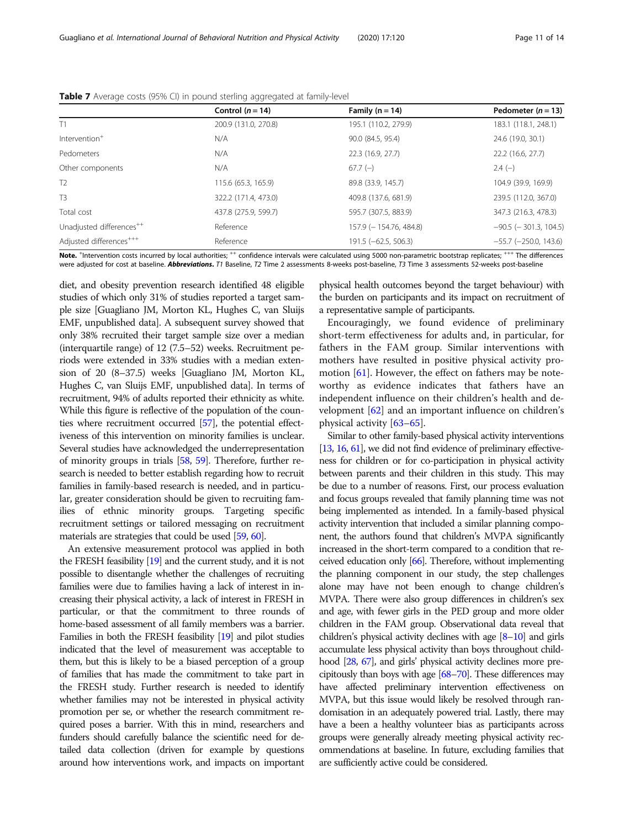|                                      | Control $(n = 14)$   | Family $(n = 14)$      | Pedometer ( $n = 13$ )      |
|--------------------------------------|----------------------|------------------------|-----------------------------|
| T1                                   | 200.9 (131.0, 270.8) | 195.1 (110.2, 279.9)   | 183.1 (118.1, 248.1)        |
| Intervention <sup>+</sup>            | N/A                  | 90.0 (84.5, 95.4)      | 24.6 (19.0, 30.1)           |
| Pedometers                           | N/A                  | 22.3 (16.9, 27.7)      | 22.2 (16.6, 27.7)           |
| Other components                     | N/A                  | $67.7(-)$              | $2.4(-)$                    |
| T <sub>2</sub>                       | 115.6 (65.3, 165.9)  | 89.8 (33.9, 145.7)     | 104.9 (39.9, 169.9)         |
| T <sub>3</sub>                       | 322.2 (171.4, 473.0) | 409.8 (137.6, 681.9)   | 239.5 (112.0, 367.0)        |
| Total cost                           | 437.8 (275.9, 599.7) | 595.7 (307.5, 883.9)   | 347.3 (216.3, 478.3)        |
| Unadjusted differences <sup>++</sup> | Reference            | 157.9 (-154.76, 484.8) | $-90.5$ ( $-301.3$ , 104.5) |
| Adjusted differences <sup>+++</sup>  | Reference            | $191.5$ (-62.5, 506.3) | $-55.7$ ( $-250.0$ , 143.6) |

<span id="page-10-0"></span>

| Table 7 Average costs (95% CI) in pound sterling aggregated at family-level |  |  |
|-----------------------------------------------------------------------------|--|--|
|                                                                             |  |  |

Note. <sup>+</sup>Intervention costs incurred by local authorities; <sup>++</sup> confidence intervals were calculated using 5000 non-parametric bootstrap replicates; <sup>+++</sup> The differences were adjusted for cost at baseline. Abbreviations. T1 Baseline, T2 Time 2 assessments 8-weeks post-baseline, T3 Time 3 assessments 52-weeks post-baseline

diet, and obesity prevention research identified 48 eligible studies of which only 31% of studies reported a target sample size [Guagliano JM, Morton KL, Hughes C, van Sluijs EMF, unpublished data]. A subsequent survey showed that only 38% recruited their target sample size over a median (interquartile range) of 12 (7.5–52) weeks. Recruitment periods were extended in 33% studies with a median extension of 20 (8–37.5) weeks [Guagliano JM, Morton KL, Hughes C, van Sluijs EMF, unpublished data]. In terms of recruitment, 94% of adults reported their ethnicity as white. While this figure is reflective of the population of the counties where recruitment occurred [\[57\]](#page-13-0), the potential effectiveness of this intervention on minority families is unclear. Several studies have acknowledged the underrepresentation of minority groups in trials [[58](#page-13-0), [59](#page-13-0)]. Therefore, further research is needed to better establish regarding how to recruit families in family-based research is needed, and in particular, greater consideration should be given to recruiting families of ethnic minority groups. Targeting specific recruitment settings or tailored messaging on recruitment materials are strategies that could be used [[59](#page-13-0), [60](#page-13-0)].

An extensive measurement protocol was applied in both the FRESH feasibility [[19\]](#page-12-0) and the current study, and it is not possible to disentangle whether the challenges of recruiting families were due to families having a lack of interest in increasing their physical activity, a lack of interest in FRESH in particular, or that the commitment to three rounds of home-based assessment of all family members was a barrier. Families in both the FRESH feasibility [[19\]](#page-12-0) and pilot studies indicated that the level of measurement was acceptable to them, but this is likely to be a biased perception of a group of families that has made the commitment to take part in the FRESH study. Further research is needed to identify whether families may not be interested in physical activity promotion per se, or whether the research commitment required poses a barrier. With this in mind, researchers and funders should carefully balance the scientific need for detailed data collection (driven for example by questions around how interventions work, and impacts on important

physical health outcomes beyond the target behaviour) with the burden on participants and its impact on recruitment of a representative sample of participants.

Encouragingly, we found evidence of preliminary short-term effectiveness for adults and, in particular, for fathers in the FAM group. Similar interventions with mothers have resulted in positive physical activity pro-motion [\[61](#page-13-0)]. However, the effect on fathers may be noteworthy as evidence indicates that fathers have an independent influence on their children's health and development [[62\]](#page-13-0) and an important influence on children's physical activity [[63](#page-13-0)–[65](#page-13-0)].

Similar to other family-based physical activity interventions [[13,](#page-12-0) [16,](#page-12-0) [61](#page-13-0)], we did not find evidence of preliminary effectiveness for children or for co-participation in physical activity between parents and their children in this study. This may be due to a number of reasons. First, our process evaluation and focus groups revealed that family planning time was not being implemented as intended. In a family-based physical activity intervention that included a similar planning component, the authors found that children's MVPA significantly increased in the short-term compared to a condition that received education only [\[66\]](#page-13-0). Therefore, without implementing the planning component in our study, the step challenges alone may have not been enough to change children's MVPA. There were also group differences in children's sex and age, with fewer girls in the PED group and more older children in the FAM group. Observational data reveal that children's physical activity declines with age  $[8-10]$  $[8-10]$  $[8-10]$  $[8-10]$  $[8-10]$  and girls accumulate less physical activity than boys throughout childhood [[28,](#page-12-0) [67](#page-13-0)], and girls' physical activity declines more precipitously than boys with age [\[68](#page-13-0)–[70](#page-13-0)]. These differences may have affected preliminary intervention effectiveness on MVPA, but this issue would likely be resolved through randomisation in an adequately powered trial. Lastly, there may have a been a healthy volunteer bias as participants across groups were generally already meeting physical activity recommendations at baseline. In future, excluding families that are sufficiently active could be considered.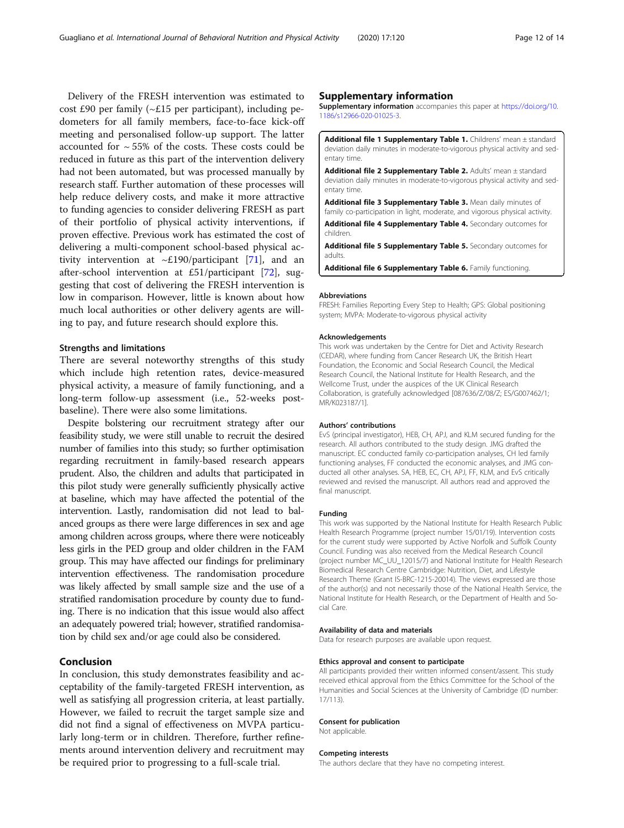<span id="page-11-0"></span>Delivery of the FRESH intervention was estimated to cost £90 per family ( $\sim$ £15 per participant), including pedometers for all family members, face-to-face kick-off meeting and personalised follow-up support. The latter accounted for  $\sim$  55% of the costs. These costs could be reduced in future as this part of the intervention delivery had not been automated, but was processed manually by research staff. Further automation of these processes will help reduce delivery costs, and make it more attractive to funding agencies to consider delivering FRESH as part of their portfolio of physical activity interventions, if proven effective. Previous work has estimated the cost of delivering a multi-component school-based physical activity intervention at  $\sim$ £190/participant [\[71](#page-13-0)], and an after-school intervention at £51/participant [\[72\]](#page-13-0), suggesting that cost of delivering the FRESH intervention is low in comparison. However, little is known about how much local authorities or other delivery agents are willing to pay, and future research should explore this.

## Strengths and limitations

There are several noteworthy strengths of this study which include high retention rates, device-measured physical activity, a measure of family functioning, and a long-term follow-up assessment (i.e., 52-weeks postbaseline). There were also some limitations.

Despite bolstering our recruitment strategy after our feasibility study, we were still unable to recruit the desired number of families into this study; so further optimisation regarding recruitment in family-based research appears prudent. Also, the children and adults that participated in this pilot study were generally sufficiently physically active at baseline, which may have affected the potential of the intervention. Lastly, randomisation did not lead to balanced groups as there were large differences in sex and age among children across groups, where there were noticeably less girls in the PED group and older children in the FAM group. This may have affected our findings for preliminary intervention effectiveness. The randomisation procedure was likely affected by small sample size and the use of a stratified randomisation procedure by county due to funding. There is no indication that this issue would also affect an adequately powered trial; however, stratified randomisation by child sex and/or age could also be considered.

## Conclusion

In conclusion, this study demonstrates feasibility and acceptability of the family-targeted FRESH intervention, as well as satisfying all progression criteria, at least partially. However, we failed to recruit the target sample size and did not find a signal of effectiveness on MVPA particularly long-term or in children. Therefore, further refinements around intervention delivery and recruitment may be required prior to progressing to a full-scale trial.

## Supplementary information

Supplementary information accompanies this paper at [https://doi.org/10.](https://doi.org/10.1186/s12966-020-01025-3) [1186/s12966-020-01025-3](https://doi.org/10.1186/s12966-020-01025-3).

Additional file 1 Supplementary Table 1. Childrens' mean ± standard deviation daily minutes in moderate-to-vigorous physical activity and sedentary time.

Additional file 2 Supplementary Table 2. Adults' mean ± standard deviation daily minutes in moderate-to-vigorous physical activity and sedentary time.

Additional file 3 Supplementary Table 3. Mean daily minutes of family co-participation in light, moderate, and vigorous physical activity.

Additional file 4 Supplementary Table 4. Secondary outcomes for children.

Additional file 5 Supplementary Table 5. Secondary outcomes for adults.

Additional file 6 Supplementary Table 6. Family functioning.

## Abbreviations

FRESH: Families Reporting Every Step to Health; GPS: Global positioning system; MVPA: Moderate-to-vigorous physical activity

#### Acknowledgements

This work was undertaken by the Centre for Diet and Activity Research (CEDAR), where funding from Cancer Research UK, the British Heart Foundation, the Economic and Social Research Council, the Medical Research Council, the National Institute for Health Research, and the Wellcome Trust, under the auspices of the UK Clinical Research Collaboration, is gratefully acknowledged [087636/Z/08/Z; ES/G007462/1; MR/K023187/1].

#### Authors' contributions

EvS (principal investigator), HEB, CH, APJ, and KLM secured funding for the research. All authors contributed to the study design. JMG drafted the manuscript. EC conducted family co-participation analyses, CH led family functioning analyses, FF conducted the economic analyses, and JMG conducted all other analyses. SA, HEB, EC, CH, APJ, FF, KLM, and EvS critically reviewed and revised the manuscript. All authors read and approved the final manuscript.

#### Funding

This work was supported by the National Institute for Health Research Public Health Research Programme (project number 15/01/19). Intervention costs for the current study were supported by Active Norfolk and Suffolk County Council. Funding was also received from the Medical Research Council (project number MC\_UU\_12015/7) and National Institute for Health Research Biomedical Research Centre Cambridge: Nutrition, Diet, and Lifestyle Research Theme (Grant IS-BRC-1215-20014). The views expressed are those of the author(s) and not necessarily those of the National Health Service, the National Institute for Health Research, or the Department of Health and Social Care.

#### Availability of data and materials

Data for research purposes are available upon request.

#### Ethics approval and consent to participate

All participants provided their written informed consent/assent. This study received ethical approval from the Ethics Committee for the School of the Humanities and Social Sciences at the University of Cambridge (ID number: 17/113).

#### Consent for publication

Not applicable.

#### Competing interests

The authors declare that they have no competing interest.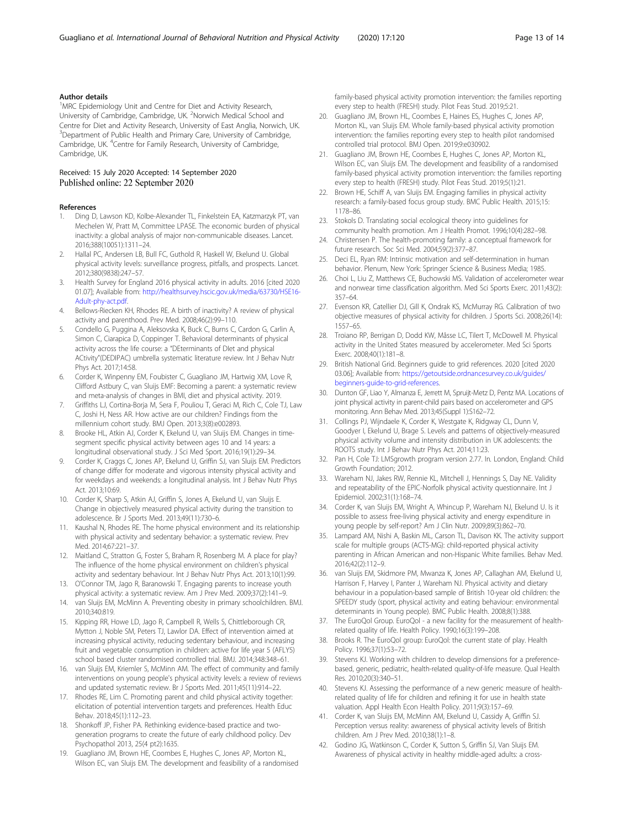## <span id="page-12-0"></span>Author details

<sup>1</sup>MRC Epidemiology Unit and Centre for Diet and Activity Research, University of Cambridge, Cambridge, UK. <sup>2</sup>Norwich Medical School and Centre for Diet and Activity Research, University of East Anglia, Norwich, UK. <sup>3</sup>Department of Public Health and Primary Care, University of Cambridge, Cambridge, UK.<sup>4</sup> Centre for Family Research, University of Cambridge, Cambridge, UK.

## Received: 15 July 2020 Accepted: 14 September 2020 Published online: 22 September 2020

#### References

- 1. Ding D, Lawson KD, Kolbe-Alexander TL, Finkelstein EA, Katzmarzyk PT, van Mechelen W, Pratt M, Committee LPASE. The economic burden of physical inactivity: a global analysis of major non-communicable diseases. Lancet. 2016;388(10051):1311–24.
- 2. Hallal PC, Andersen LB, Bull FC, Guthold R, Haskell W, Ekelund U. Global physical activity levels: surveillance progress, pitfalls, and prospects. Lancet. 2012;380(9838):247–57.
- 3. Health Survey for England 2016 physical activity in adults. 2016 [cited 2020 01.07]; Available from: [http://healthsurvey.hscic.gov.uk/media/63730/HSE16-](http://healthsurvey.hscic.gov.uk/media/63730/HSE16-Adult-phy-act.pdf) [Adult-phy-act.pdf](http://healthsurvey.hscic.gov.uk/media/63730/HSE16-Adult-phy-act.pdf).
- 4. Bellows-Riecken KH, Rhodes RE. A birth of inactivity? A review of physical activity and parenthood. Prev Med. 2008;46(2):99–110.
- 5. Condello G, Puggina A, Aleksovska K, Buck C, Burns C, Cardon G, Carlin A, Simon C, Ciarapica D, Coppinger T. Behavioral determinants of physical activity across the life course: a "DEterminants of DIet and physical ACtivity"(DEDIPAC) umbrella systematic literature review. Int J Behav Nutr Phys Act. 2017;14:58.
- 6. Corder K, Winpenny EM, Foubister C, Guagliano JM, Hartwig XM, Love R, Clifford Astbury C, van Sluijs EMF: Becoming a parent: a systematic review and meta-analysis of changes in BMI, diet and physical activity. 2019.
- 7. Griffiths LJ, Cortina-Borja M, Sera F, Pouliou T, Geraci M, Rich C, Cole TJ, Law C, Joshi H, Ness AR. How active are our children? Findings from the millennium cohort study. BMJ Open. 2013;3(8):e002893.
- 8. Brooke HL, Atkin AJ, Corder K, Ekelund U, van Sluijs EM. Changes in timesegment specific physical activity between ages 10 and 14 years: a longitudinal observational study. J Sci Med Sport. 2016;19(1):29–34.
- 9. Corder K, Craggs C, Jones AP, Ekelund U, Griffin SJ, van Sluijs EM. Predictors of change differ for moderate and vigorous intensity physical activity and for weekdays and weekends: a longitudinal analysis. Int J Behav Nutr Phys Act. 2013;10:69.
- 10. Corder K, Sharp S, Atkin AJ, Griffin S, Jones A, Ekelund U, van Sluijs E. Change in objectively measured physical activity during the transition to adolescence. Br J Sports Med. 2013;49(11):730–6.
- 11. Kaushal N, Rhodes RE. The home physical environment and its relationship with physical activity and sedentary behavior: a systematic review. Prev Med. 2014;67:221–37.
- 12. Maitland C, Stratton G, Foster S, Braham R, Rosenberg M. A place for play? The influence of the home physical environment on children's physical activity and sedentary behaviour. Int J Behav Nutr Phys Act. 2013;10(1):99.
- 13. O'Connor TM, Jago R, Baranowski T. Engaging parents to increase youth physical activity: a systematic review. Am J Prev Med. 2009;37(2):141–9.
- 14. van Sluijs EM, McMinn A. Preventing obesity in primary schoolchildren. BMJ. 2010;340:819.
- 15. Kipping RR, Howe LD, Jago R, Campbell R, Wells S, Chittleborough CR, Mytton J, Noble SM, Peters TJ, Lawlor DA. Effect of intervention aimed at increasing physical activity, reducing sedentary behaviour, and increasing fruit and vegetable consumption in children: active for life year 5 (AFLY5) school based cluster randomised controlled trial. BMJ. 2014;348:348–61.
- 16. van Sluijs EM, Kriemler S, McMinn AM. The effect of community and family interventions on young people's physical activity levels: a review of reviews and updated systematic review. Br J Sports Med. 2011;45(11):914–22.
- 17. Rhodes RE, Lim C. Promoting parent and child physical activity together: elicitation of potential intervention targets and preferences. Health Educ Behav. 2018;45(1):112–23.
- 18. Shonkoff JP, Fisher PA. Rethinking evidence-based practice and twogeneration programs to create the future of early childhood policy. Dev Psychopathol 2013, 25(4 pt2):1635.
- 19. Guagliano JM, Brown HE, Coombes E, Hughes C, Jones AP, Morton KL, Wilson EC, van Sluijs EM. The development and feasibility of a randomised

family-based physical activity promotion intervention: the families reporting every step to health (FRESH) study. Pilot Feas Stud. 2019;5:21.

- 20. Guagliano JM, Brown HL, Coombes E, Haines ES, Hughes C, Jones AP, Morton KL, van Sluijs EM. Whole family-based physical activity promotion intervention: the families reporting every step to health pilot randomised controlled trial protocol. BMJ Open. 2019;9:e030902.
- 21. Guagliano JM, Brown HE, Coombes E, Hughes C, Jones AP, Morton KL, Wilson EC, van Sluijs EM. The development and feasibility of a randomised family-based physical activity promotion intervention: the families reporting every step to health (FRESH) study. Pilot Feas Stud. 2019;5(1):21.
- 22. Brown HE, Schiff A, van Sluijs EM. Engaging families in physical activity research: a family-based focus group study. BMC Public Health. 2015;15: 1178–86.
- 23. Stokols D. Translating social ecological theory into guidelines for community health promotion. Am J Health Promot. 1996;10(4):282–98.
- 24. Christensen P. The health-promoting family: a conceptual framework for future research. Soc Sci Med. 2004;59(2):377–87.
- 25. Deci EL, Ryan RM: Intrinsic motivation and self-determination in human behavior. Plenum, New York: Springer Science & Business Media; 1985.
- 26. Choi L, Liu Z, Matthews CE, Buchowski MS. Validation of accelerometer wear and nonwear time classification algorithm. Med Sci Sports Exerc. 2011;43(2): 357–64.
- 27. Evenson KR, Catellier DJ, Gill K, Ondrak KS, McMurray RG. Calibration of two objective measures of physical activity for children. J Sports Sci. 2008;26(14): 1557–65.
- 28. Troiano RP, Berrigan D, Dodd KW, Mâsse LC, Tilert T, McDowell M. Physical activity in the United States measured by accelerometer. Med Sci Sports Exerc. 2008;40(1):181–8.
- 29. British National Grid. Beginners guide to grid references. 2020 [cited 2020 03.06]; Available from: [https://getoutside.ordnancesurvey.co.uk/guides/](https://getoutside.ordnancesurvey.co.uk/guides/beginners-guide-to-grid-references) [beginners-guide-to-grid-references.](https://getoutside.ordnancesurvey.co.uk/guides/beginners-guide-to-grid-references)
- 30. Dunton GF, Liao Y, Almanza E, Jerrett M, Spruijt-Metz D, Pentz MA. Locations of joint physical activity in parent-child pairs based on accelerometer and GPS monitoring. Ann Behav Med. 2013;45(Suppl 1):S162–72.
- 31. Collings PJ, Wijndaele K, Corder K, Westgate K, Ridgway CL, Dunn V, Goodyer I, Ekelund U, Brage S. Levels and patterns of objectively-measured physical activity volume and intensity distribution in UK adolescents: the ROOTS study. Int J Behav Nutr Phys Act. 2014;11:23.
- 32. Pan H, Cole TJ: LMSgrowth program version 2.77. In. London, England: Child Growth Foundation; 2012.
- 33. Wareham NJ, Jakes RW, Rennie KL, Mitchell J, Hennings S, Day NE. Validity and repeatability of the EPIC-Norfolk physical activity questionnaire. Int J Epidemiol. 2002;31(1):168–74.
- 34. Corder K, van Sluijs EM, Wright A, Whincup P, Wareham NJ, Ekelund U. Is it possible to assess free-living physical activity and energy expenditure in young people by self-report? Am J Clin Nutr. 2009;89(3):862–70.
- 35. Lampard AM, Nishi A, Baskin ML, Carson TL, Davison KK. The activity support scale for multiple groups (ACTS-MG): child-reported physical activity parenting in African American and non-Hispanic White families. Behav Med. 2016;42(2):112–9.
- 36. van Sluijs EM, Skidmore PM, Mwanza K, Jones AP, Callaghan AM, Ekelund U, Harrison F, Harvey I, Panter J, Wareham NJ. Physical activity and dietary behaviour in a population-based sample of British 10-year old children: the SPEEDY study (sport, physical activity and eating behaviour: environmental determinants in Young people). BMC Public Health. 2008;8(1):388.
- 37. The EuroQol Group. EuroQol a new facility for the measurement of healthrelated quality of life. Health Policy. 1990;16(3):199–208.
- 38. Brooks R. The EuroQol group: EuroQol: the current state of play. Health Policy. 1996;37(1):53–72.
- 39. Stevens KJ. Working with children to develop dimensions for a preferencebased, generic, pediatric, health-related quality-of-life measure. Qual Health Res. 2010;20(3):340–51.
- 40. Stevens KJ. Assessing the performance of a new generic measure of healthrelated quality of life for children and refining it for use in health state valuation. Appl Health Econ Health Policy. 2011;9(3):157–69.
- 41. Corder K, van Sluijs EM, McMinn AM, Ekelund U, Cassidy A, Griffin SJ. Perception versus reality: awareness of physical activity levels of British children. Am J Prev Med. 2010;38(1):1–8.
- 42. Godino JG, Watkinson C, Corder K, Sutton S, Griffin SJ, Van Sluijs EM. Awareness of physical activity in healthy middle-aged adults: a cross-